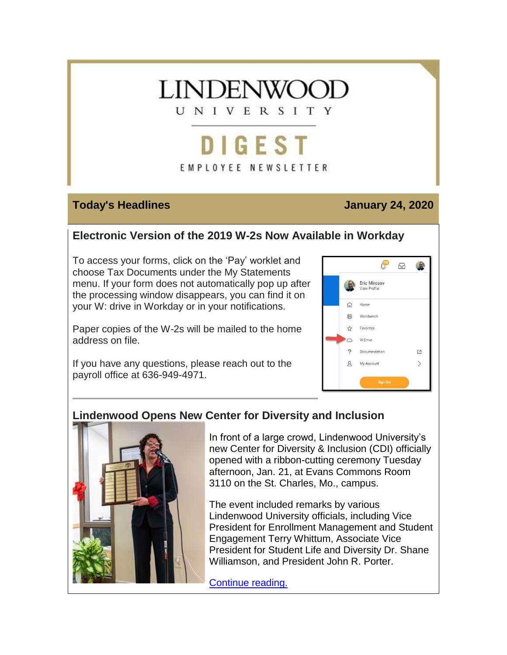

# DIGEST EMPLOYEE NEWSLETTER

#### **Today's Headlines January 24, 2020**

## **Electronic Version of the 2019 W-2s Now Available in Workday**

To access your forms, click on the 'Pay' worklet and choose Tax Documents under the My Statements menu. If your form does not automatically pop up after the processing window disappears, you can find it on your W: drive in Workday or in your notifications.

Paper copies of the W-2s will be mailed to the home address on file.



If you have any questions, please reach out to the payroll office at 636-949-4971.

## **Lindenwood Opens New Center for Diversity and Inclusion**



In front of a large crowd, Lindenwood University's new Center for Diversity & Inclusion (CDI) officially opened with a ribbon-cutting ceremony Tuesday afternoon, Jan. 21, at Evans Commons Room 3110 on the St. Charles, Mo., campus.

The event included remarks by various Lindenwood University officials, including Vice President for Enrollment Management and Student Engagement Terry Whittum, Associate Vice President for Student Life and Diversity Dr. Shane Williamson, and President John R. Porter.

[Continue reading.](https://hes32-ctp.trendmicro.com/wis/clicktime/v1/query?url=https%3a%2f%2fcustapp.marketvolt.com%2flink%2fDF7K3lfeW1%3fCM%3d1453562722%26X%3d70525052&umid=e67b19cb-28d9-4ecb-8f3c-01d7c4429280&auth=bc7ac43e330fa629f0cfb11786c85e83c10d06b8-7c463a36dee9515655978b73042ec3efab4d176c)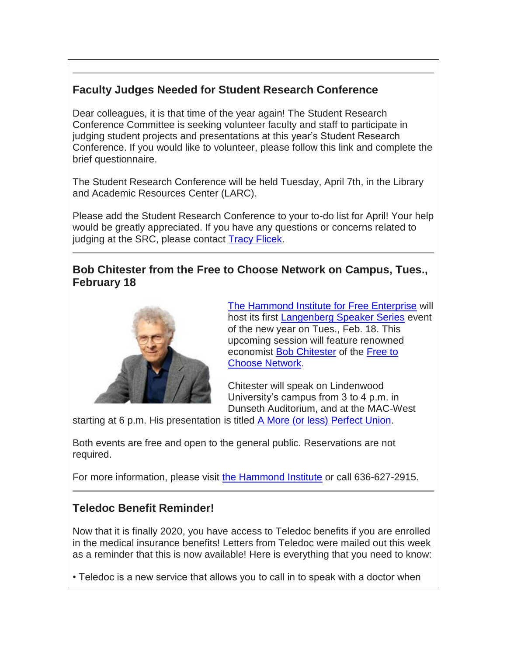## **Faculty Judges Needed for Student Research Conference**

Dear colleagues, it is that time of the year again! The Student Research Conference Committee is seeking volunteer faculty and staff to participate in judging student projects and presentations at this year's Student Research Conference. If you would like to volunteer, please follow this link and complete the brief questionnaire.

The Student Research Conference will be held Tuesday, April 7th, in the Library and Academic Resources Center (LARC).

Please add the Student Research Conference to your to-do list for April! Your help would be greatly appreciated. If you have any questions or concerns related to judging at the SRC, please contact [Tracy Flicek.](mailto:TFlicek@lindenwood.edu)

#### **Bob Chitester from the Free to Choose Network on Campus, Tues., February 18**



[The Hammond Institute for Free Enterprise](https://hes32-ctp.trendmicro.com/wis/clicktime/v1/query?url=https%3a%2f%2fcustapp.marketvolt.com%2flink%2faHF9swfndx%3fCM%3d1453562722%26X%3d70525052&umid=e67b19cb-28d9-4ecb-8f3c-01d7c4429280&auth=bc7ac43e330fa629f0cfb11786c85e83c10d06b8-beab4b677524548166c23dcd615fc61d5c13c803) will host its first [Langenberg Speaker Series](https://hes32-ctp.trendmicro.com/wis/clicktime/v1/query?url=https%3a%2f%2fcustapp.marketvolt.com%2flink%2fi8AiovyVn3%3fCM%3d1453562722%26X%3d70525052&umid=e67b19cb-28d9-4ecb-8f3c-01d7c4429280&auth=bc7ac43e330fa629f0cfb11786c85e83c10d06b8-93a291ae77cca98b365ff1b4f0316276cccd638b) event of the new year on Tues., Feb. 18. This upcoming session will feature renowned economist [Bob Chitester](https://hes32-ctp.trendmicro.com/wis/clicktime/v1/query?url=https%3a%2f%2fcustapp.marketvolt.com%2flink%2fVfXpFp5Md1%3fCM%3d1453562722%26X%3d70525052&umid=e67b19cb-28d9-4ecb-8f3c-01d7c4429280&auth=bc7ac43e330fa629f0cfb11786c85e83c10d06b8-f2f3adbcdeba0c40f40619b0ad837de249762438) of the [Free to](https://hes32-ctp.trendmicro.com/wis/clicktime/v1/query?url=https%3a%2f%2fcustapp.marketvolt.com%2flink%2fgxiEx6oA9Q%3fCM%3d1453562722%26X%3d70525052&umid=e67b19cb-28d9-4ecb-8f3c-01d7c4429280&auth=bc7ac43e330fa629f0cfb11786c85e83c10d06b8-00738e826d07600ad092f0c6eec3a889fe7ceae0)  [Choose Network.](https://hes32-ctp.trendmicro.com/wis/clicktime/v1/query?url=https%3a%2f%2fcustapp.marketvolt.com%2flink%2fgxiEx6oA9Q%3fCM%3d1453562722%26X%3d70525052&umid=e67b19cb-28d9-4ecb-8f3c-01d7c4429280&auth=bc7ac43e330fa629f0cfb11786c85e83c10d06b8-00738e826d07600ad092f0c6eec3a889fe7ceae0)

Chitester will speak on Lindenwood University's campus from 3 to 4 p.m. in Dunseth Auditorium, and at the MAC-West

starting at 6 p.m. His presentation is titled [A More \(or less\) Perfect Union.](https://hes32-ctp.trendmicro.com/wis/clicktime/v1/query?url=https%3a%2f%2fcustapp.marketvolt.com%2flink%2fGrVffMmmWS%3fCM%3d1453562722%26X%3d70525052&umid=e67b19cb-28d9-4ecb-8f3c-01d7c4429280&auth=bc7ac43e330fa629f0cfb11786c85e83c10d06b8-7614894bad8313c59a7c8d583a15bc1149fee365)

Both events are free and open to the general public. Reservations are not required.

For more information, please visit [the Hammond Institute](https://hes32-ctp.trendmicro.com/wis/clicktime/v1/query?url=https%3a%2f%2fcustapp.marketvolt.com%2flink%2faHF9swfndx%3fCM%3d1453562722%26X%3d70525052&umid=e67b19cb-28d9-4ecb-8f3c-01d7c4429280&auth=bc7ac43e330fa629f0cfb11786c85e83c10d06b8-beab4b677524548166c23dcd615fc61d5c13c803) or call 636-627-2915.

### **Teledoc Benefit Reminder!**

Now that it is finally 2020, you have access to Teledoc benefits if you are enrolled in the medical insurance benefits! Letters from Teledoc were mailed out this week as a reminder that this is now available! Here is everything that you need to know:

• Teledoc is a new service that allows you to call in to speak with a doctor when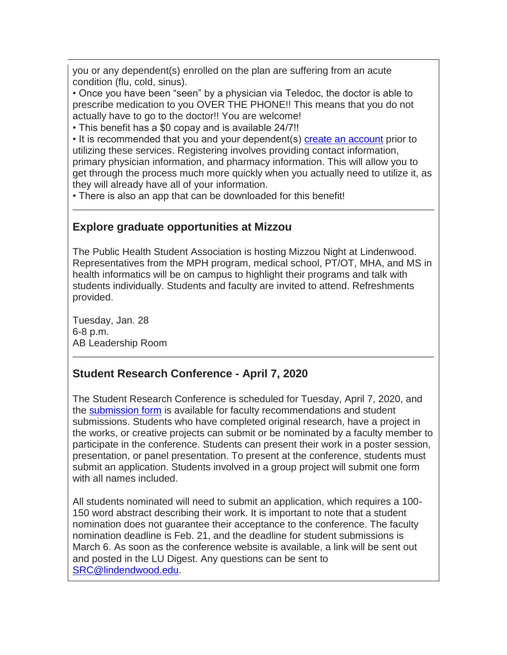you or any dependent(s) enrolled on the plan are suffering from an acute condition (flu, cold, sinus).

• Once you have been "seen" by a physician via Teledoc, the doctor is able to prescribe medication to you OVER THE PHONE!! This means that you do not actually have to go to the doctor!! You are welcome!

• This benefit has a \$0 copay and is available 24/7!!

• It is recommended that you and your dependent(s) [create an account](https://hes32-ctp.trendmicro.com/wis/clicktime/v1/query?url=https%3a%2f%2fcustapp.marketvolt.com%2flink%2fWYswMhmpak%3fCM%3d1453562722%26X%3d70525052&umid=e67b19cb-28d9-4ecb-8f3c-01d7c4429280&auth=bc7ac43e330fa629f0cfb11786c85e83c10d06b8-199e18078f39ed529e9a85442bb59f0a19024544) prior to utilizing these services. Registering involves providing contact information, primary physician information, and pharmacy information. This will allow you to get through the process much more quickly when you actually need to utilize it, as they will already have all of your information.

• There is also an app that can be downloaded for this benefit!

### **Explore graduate opportunities at Mizzou**

The Public Health Student Association is hosting Mizzou Night at Lindenwood. Representatives from the MPH program, medical school, PT/OT, MHA, and MS in health informatics will be on campus to highlight their programs and talk with students individually. Students and faculty are invited to attend. Refreshments provided.

Tuesday, Jan. 28 6-8 p.m. AB Leadership Room

### **Student Research Conference - April 7, 2020**

The Student Research Conference is scheduled for Tuesday, April 7, 2020, and the [submission form](https://hes32-ctp.trendmicro.com/wis/clicktime/v1/query?url=https%3a%2f%2fcustapp.marketvolt.com%2flink%2ffG6liZkReS%3fCM%3d1453562722%26X%3d70525052&umid=e67b19cb-28d9-4ecb-8f3c-01d7c4429280&auth=bc7ac43e330fa629f0cfb11786c85e83c10d06b8-d03c102f9475d541a4eb5f8d9a68c11cf3eb08df) is available for faculty recommendations and student submissions. Students who have completed original research, have a project in the works, or creative projects can submit or be nominated by a faculty member to participate in the conference. Students can present their work in a poster session, presentation, or panel presentation. To present at the conference, students must submit an application. Students involved in a group project will submit one form with all names included.

All students nominated will need to submit an application, which requires a 100- 150 word abstract describing their work. It is important to note that a student nomination does not guarantee their acceptance to the conference. The faculty nomination deadline is Feb. 21, and the deadline for student submissions is March 6. As soon as the conference website is available, a link will be sent out and posted in the LU Digest. Any questions can be sent to [SRC@lindendwood.edu.](mailto:SRC@lindendwood.edu)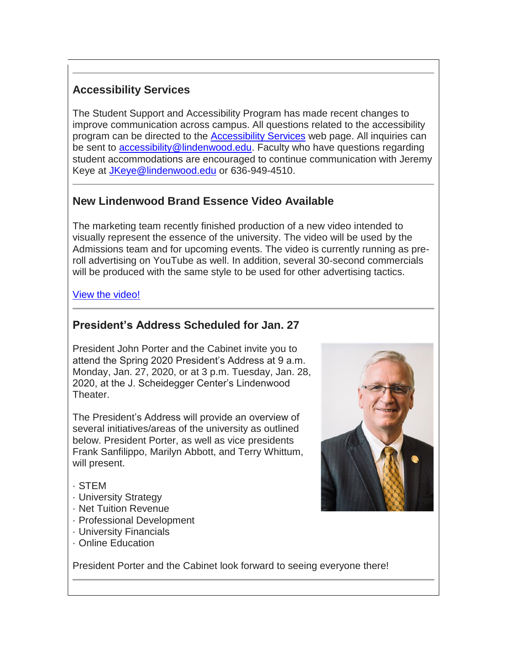## **Accessibility Services**

The Student Support and Accessibility Program has made recent changes to improve communication across campus. All questions related to the accessibility program can be directed to the [Accessibility Services](https://hes32-ctp.trendmicro.com/wis/clicktime/v1/query?url=https%3a%2f%2fcustapp.marketvolt.com%2flink%2f2QK1PWgFaR%3fCM%3d1453562722%26X%3d70525052&umid=e67b19cb-28d9-4ecb-8f3c-01d7c4429280&auth=bc7ac43e330fa629f0cfb11786c85e83c10d06b8-2bd3964a762237c5972a86995eadb55e32b4cfe3) web page. All inquiries can be sent to [accessibility@lindenwood.edu.](mailto:accessibility@lindenwood.edu) Faculty who have questions regarding student accommodations are encouraged to continue communication with Jeremy Keye at [JKeye@lindenwood.edu](mailto:JKeye@lindenwood.edu) or 636-949-4510.

## **New Lindenwood Brand Essence Video Available**

The marketing team recently finished production of a new video intended to visually represent the essence of the university. The video will be used by the Admissions team and for upcoming events. The video is currently running as preroll advertising on YouTube as well. In addition, several 30-second commercials will be produced with the same style to be used for other advertising tactics.

#### [View the video!](https://hes32-ctp.trendmicro.com/wis/clicktime/v1/query?url=https%3a%2f%2fcustapp.marketvolt.com%2flink%2f357GF9Kd51%3fCM%3d1453562722%26X%3d70525052&umid=e67b19cb-28d9-4ecb-8f3c-01d7c4429280&auth=bc7ac43e330fa629f0cfb11786c85e83c10d06b8-5b10a269e953cf84f361deb646a8b9b4ba2df97d)

#### **President's Address Scheduled for Jan. 27**

President John Porter and the Cabinet invite you to attend the Spring 2020 President's Address at 9 a.m. Monday, Jan. 27, 2020, or at 3 p.m. Tuesday, Jan. 28, 2020, at the J. Scheidegger Center's Lindenwood Theater.

The President's Address will provide an overview of several initiatives/areas of the university as outlined below. President Porter, as well as vice presidents Frank Sanfilippo, Marilyn Abbott, and Terry Whittum, will present.



#### · STEM

- · University Strategy
- · Net Tuition Revenue
- · Professional Development
- · University Financials
- · Online Education

President Porter and the Cabinet look forward to seeing everyone there!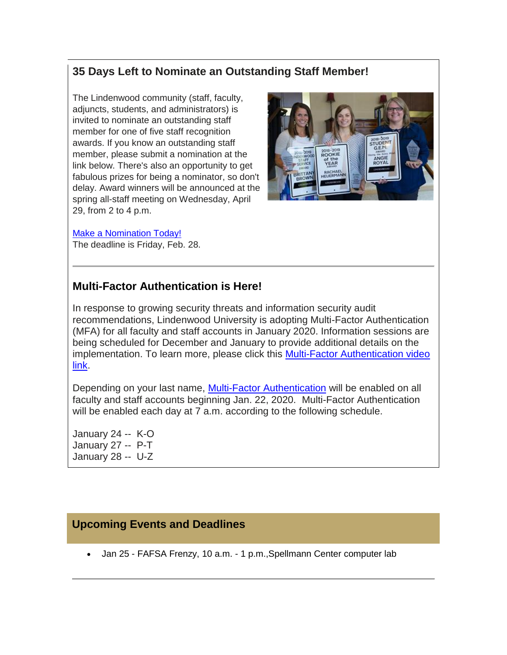## **35 Days Left to Nominate an Outstanding Staff Member!**

The Lindenwood community (staff, faculty, adjuncts, students, and administrators) is invited to nominate an outstanding staff member for one of five staff recognition awards. If you know an outstanding staff member, please submit a nomination at the link below. There's also an opportunity to get fabulous prizes for being a nominator, so don't delay. Award winners will be announced at the spring all-staff meeting on Wednesday, April 29, from 2 to 4 p.m.



#### [Make a Nomination Today!](https://hes32-ctp.trendmicro.com/wis/clicktime/v1/query?url=https%3a%2f%2fcustapp.marketvolt.com%2flink%2fZABmFCW9I2%3fCM%3d1453562722%26X%3d70525052&umid=e67b19cb-28d9-4ecb-8f3c-01d7c4429280&auth=bc7ac43e330fa629f0cfb11786c85e83c10d06b8-c637867d9e934bded5cf2d1d50b27d378063c47b)

The deadline is Friday, Feb. 28.

#### **Multi-Factor Authentication is Here!**

In response to growing security threats and information security audit recommendations, Lindenwood University is adopting Multi-Factor Authentication (MFA) for all faculty and staff accounts in January 2020. Information sessions are being scheduled for December and January to provide additional details on the implementation. To learn more, please click this [Multi-Factor Authentication video](https://hes32-ctp.trendmicro.com/wis/clicktime/v1/query?url=https%3a%2f%2fcustapp.marketvolt.com%2flink%2fhatI5en6kY%3fCM%3d1453562722%26X%3d70525052&umid=e67b19cb-28d9-4ecb-8f3c-01d7c4429280&auth=bc7ac43e330fa629f0cfb11786c85e83c10d06b8-0c600ca7943d125c4235563c0b7c6a463491bc17)  [link.](https://hes32-ctp.trendmicro.com/wis/clicktime/v1/query?url=https%3a%2f%2fcustapp.marketvolt.com%2flink%2fhatI5en6kY%3fCM%3d1453562722%26X%3d70525052&umid=e67b19cb-28d9-4ecb-8f3c-01d7c4429280&auth=bc7ac43e330fa629f0cfb11786c85e83c10d06b8-0c600ca7943d125c4235563c0b7c6a463491bc17)

Depending on your last name, [Multi-Factor Authentication](https://hes32-ctp.trendmicro.com/wis/clicktime/v1/query?url=https%3a%2f%2fcustapp.marketvolt.com%2flink%2fndV5IGgu83%3fCM%3d1453562722%26X%3d70525052&umid=e67b19cb-28d9-4ecb-8f3c-01d7c4429280&auth=bc7ac43e330fa629f0cfb11786c85e83c10d06b8-3c40c510cb5454db19abae1589a6bdb6ff3348bc) will be enabled on all faculty and staff accounts beginning Jan. 22, 2020. Multi-Factor Authentication will be enabled each day at 7 a.m. according to the following schedule.

January 24 -- K-O January 27 -- P-T January 28 -- U-Z

#### **Upcoming Events and Deadlines**

Jan 25 - FAFSA Frenzy, 10 a.m. - 1 p.m.,Spellmann Center computer lab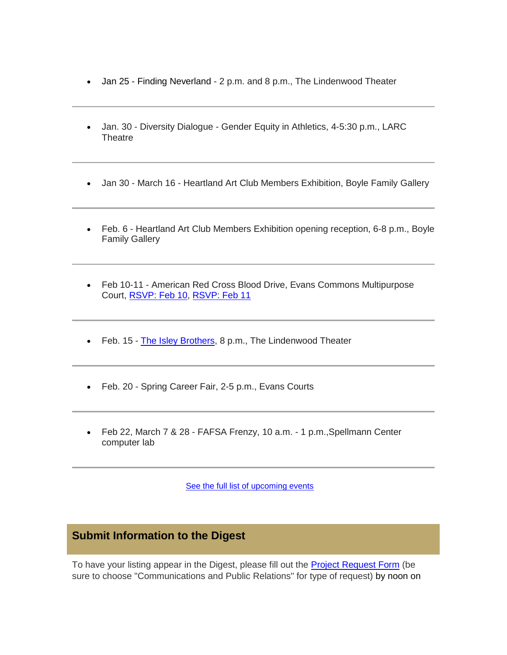- Jan 25 Finding Neverland 2 p.m. and 8 p.m., The Lindenwood Theater
- Jan. 30 Diversity Dialogue Gender Equity in Athletics, 4-5:30 p.m., LARC **Theatre**
- Jan 30 March 16 Heartland Art Club Members Exhibition, Boyle Family Gallery
- Feb. 6 Heartland Art Club Members Exhibition opening reception, 6-8 p.m., Boyle Family Gallery
- Feb 10-11 American Red Cross Blood Drive, Evans Commons Multipurpose Court, [RSVP: Feb 10,](https://hes32-ctp.trendmicro.com/wis/clicktime/v1/query?url=https%3a%2f%2fcustapp.marketvolt.com%2flink%2fIyffcMEDoM%3fCM%3d1453562722%26X%3d70525052&umid=e67b19cb-28d9-4ecb-8f3c-01d7c4429280&auth=bc7ac43e330fa629f0cfb11786c85e83c10d06b8-895c149f4817813a57f69fbcd6d65b920a0446a6) [RSVP: Feb 11](https://hes32-ctp.trendmicro.com/wis/clicktime/v1/query?url=https%3a%2f%2fcustapp.marketvolt.com%2flink%2fqM2gmLCsRx%3fCM%3d1453562722%26X%3d70525052&umid=e67b19cb-28d9-4ecb-8f3c-01d7c4429280&auth=bc7ac43e330fa629f0cfb11786c85e83c10d06b8-d8b7fdf3845d13dd6ad0382e477e98d3b4a32019)
- Feb. 15 [The Isley Brothers,](https://hes32-ctp.trendmicro.com/wis/clicktime/v1/query?url=https%3a%2f%2fcustapp.marketvolt.com%2flink%2fAhRK9Fiw4i%3fCM%3d1453562722%26X%3d70525052&umid=e67b19cb-28d9-4ecb-8f3c-01d7c4429280&auth=bc7ac43e330fa629f0cfb11786c85e83c10d06b8-737982e1e76de95ce3b72f37a265ac89fca8fcfa) 8 p.m., The Lindenwood Theater
- Feb. 20 Spring Career Fair, 2-5 p.m., Evans Courts
- Feb 22, March 7 & 28 FAFSA Frenzy, 10 a.m. 1 p.m.,Spellmann Center computer lab

[See the full list of upcoming events](https://hes32-ctp.trendmicro.com/wis/clicktime/v1/query?url=https%3a%2f%2fcustapp.marketvolt.com%2flink%2fuMVh9zc7eQ%3fCM%3d1453562722%26X%3d70525052&umid=e67b19cb-28d9-4ecb-8f3c-01d7c4429280&auth=bc7ac43e330fa629f0cfb11786c85e83c10d06b8-4c2e1ad1aa92275608a27203c86517191a71e489)

#### **Submit Information to the Digest**

To have your listing appear in the Digest, please fill out the [Project Request Form](https://hes32-ctp.trendmicro.com/wis/clicktime/v1/query?url=https%3a%2f%2fcustapp.marketvolt.com%2flink%2f9QMlVyD6GM%3fCM%3d1453562722%26X%3d70525052&umid=e67b19cb-28d9-4ecb-8f3c-01d7c4429280&auth=bc7ac43e330fa629f0cfb11786c85e83c10d06b8-95e67c6a0f346a3962747162e207c2ca4e892aef) (be sure to choose "Communications and Public Relations" for type of request) by noon on